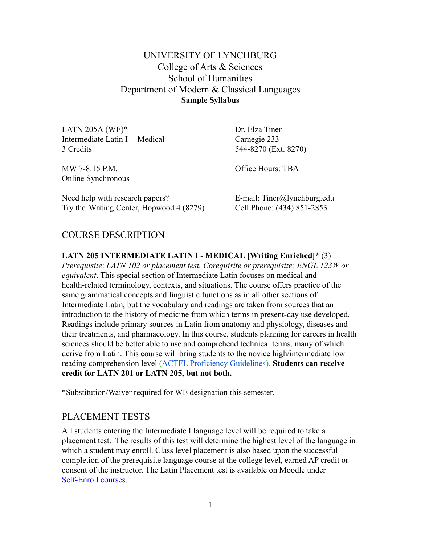UNIVERSITY OF LYNCHBURG College of Arts & Sciences School of Humanities Department of Modern & Classical Languages **Sample Syllabus**

LATN 205A (WE)<sup>\*</sup> Dr. Elza Tiner Intermediate Latin I -- Medical Carnegie 233 3 Credits 544-8270 (Ext. 8270) MW 7-8:15 P.M. Office Hours: TBA Online Synchronous Need help with research papers? E-mail: Tiner@lynchburg.edu

Try the Writing Center, Hopwood 4 (8279) Cell Phone: (434) 851-2853

### COURSE DESCRIPTION

**LATN 205 INTERMEDIATE LATIN I - MEDICAL [Writing Enriched]\*** (3) *Prerequisite*: *LATN 102 or placement test. Corequisite or prerequisite: ENGL 123W or equivalent*. This special section of Intermediate Latin focuses on medical and health-related terminology, contexts, and situations. The course offers practice of the same grammatical concepts and linguistic functions as in all other sections of Intermediate Latin, but the vocabulary and readings are taken from sources that an introduction to the history of medicine from which terms in present-day use developed. Readings include primary sources in Latin from anatomy and physiology, diseases and their treatments, and pharmacology. In this course, students planning for careers in health sciences should be better able to use and comprehend technical terms, many of which derive from Latin. This course will bring students to the novice high/intermediate low reading comprehension level ([ACTFL Proficiency Guidelines\)](https://www.actfl.org/publications/guidelines-and-manuals/actfl-proficiency-guidelines-2012). **Students can receive credit for LATN 201 or LATN 205, but not both.**

\*Substitution/Waiver required for WE designation this semester.

### PLACEMENT TESTS

All students entering the Intermediate I language level will be required to take a placement test. The results of this test will determine the highest level of the language in which a student may enroll. Class level placement is also based upon the successful completion of the prerequisite language course at the college level, earned AP credit or consent of the instructor. The Latin Placement test is available on Moodle under [Self-Enroll courses](https://moodle.lynchburg.edu/moodle/course/view.php?id=958).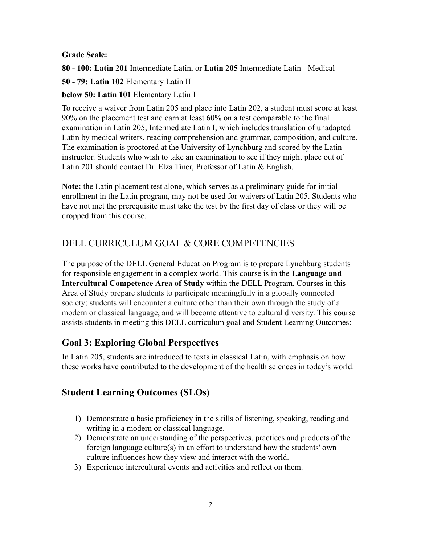#### **Grade Scale:**

**80 - 100: Latin 201** Intermediate Latin, or **Latin 205** Intermediate Latin - Medical

**50 - 79: Latin 102** Elementary Latin II

### **below 50: Latin 101** Elementary Latin I

To receive a waiver from Latin 205 and place into Latin 202, a student must score at least 90% on the placement test and earn at least 60% on a test comparable to the final examination in Latin 205, Intermediate Latin I, which includes translation of unadapted Latin by medical writers, reading comprehension and grammar, composition, and culture. The examination is proctored at the University of Lynchburg and scored by the Latin instructor. Students who wish to take an examination to see if they might place out of Latin 201 should contact Dr. Elza Tiner, Professor of Latin & English.

**Note:** the Latin placement test alone, which serves as a preliminary guide for initial enrollment in the Latin program, may not be used for waivers of Latin 205. Students who have not met the prerequisite must take the test by the first day of class or they will be dropped from this course.

# DELL CURRICULUM GOAL & CORE COMPETENCIES

The purpose of the DELL General Education Program is to prepare Lynchburg students for responsible engagement in a complex world. This course is in the **Language and Intercultural Competence Area of Study** within the DELL Program. Courses in this Area of Study prepare students to participate meaningfully in a globally connected society; students will encounter a culture other than their own through the study of a modern or classical language, and will become attentive to cultural diversity. This course assists students in meeting this DELL curriculum goal and Student Learning Outcomes:

# **Goal 3: Exploring Global Perspectives**

In Latin 205, students are introduced to texts in classical Latin, with emphasis on how these works have contributed to the development of the health sciences in today's world.

## **Student Learning Outcomes (SLOs)**

- 1) Demonstrate a basic proficiency in the skills of listening, speaking, reading and writing in a modern or classical language.
- 2) Demonstrate an understanding of the perspectives, practices and products of the foreign language culture(s) in an effort to understand how the students' own culture influences how they view and interact with the world.
- 3) Experience intercultural events and activities and reflect on them.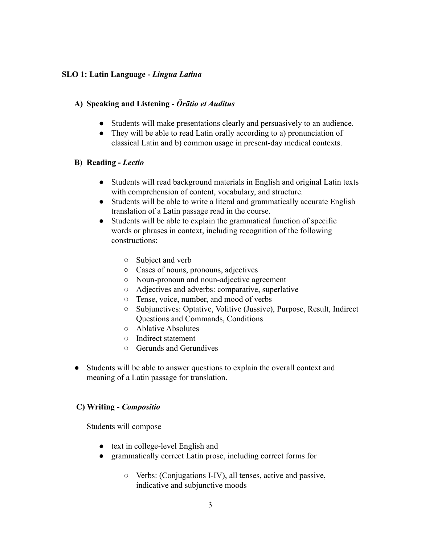#### **SLO 1: Latin Language -** *Lingua Latina*

#### **A) Speaking and Listening -** *Ōrātio et Auditus*

- Students will make presentations clearly and persuasively to an audience.
- They will be able to read Latin orally according to a) pronunciation of classical Latin and b) common usage in present-day medical contexts.

#### **B) Reading -** *Lectio*

- Students will read background materials in English and original Latin texts with comprehension of content, vocabulary, and structure.
- Students will be able to write a literal and grammatically accurate English translation of a Latin passage read in the course.
- Students will be able to explain the grammatical function of specific words or phrases in context, including recognition of the following constructions:
	- Subject and verb
	- Cases of nouns, pronouns, adjectives
	- Noun-pronoun and noun-adjective agreement
	- Adjectives and adverbs: comparative, superlative
	- Tense, voice, number, and mood of verbs
	- Subjunctives: Optative, Volitive (Jussive), Purpose, Result, Indirect Questions and Commands, Conditions
	- Ablative Absolutes
	- Indirect statement
	- Gerunds and Gerundives
- Students will be able to answer questions to explain the overall context and meaning of a Latin passage for translation.

#### **C) Writing -** *Compositio*

Students will compose

- text in college-level English and
- grammatically correct Latin prose, including correct forms for
	- Verbs: (Conjugations I-IV), all tenses, active and passive, indicative and subjunctive moods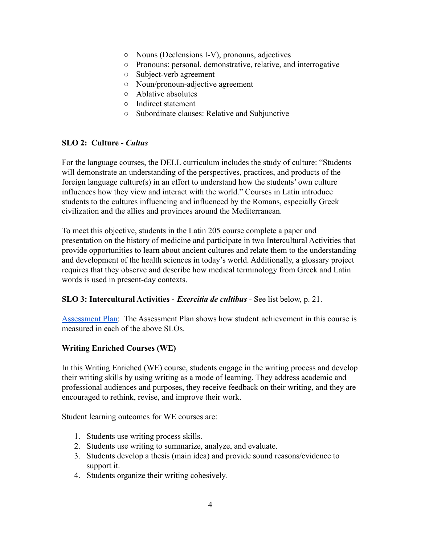- Nouns (Declensions I-V), pronouns, adjectives
- Pronouns: personal, demonstrative, relative, and interrogative
- Subject-verb agreement
- Noun/pronoun-adjective agreement
- Ablative absolutes
- Indirect statement
- Subordinate clauses: Relative and Subjunctive

#### **SLO 2: Culture -** *Cultus*

For the language courses, the DELL curriculum includes the study of culture: "Students will demonstrate an understanding of the perspectives, practices, and products of the foreign language culture(s) in an effort to understand how the students' own culture influences how they view and interact with the world." Courses in Latin introduce students to the cultures influencing and influenced by the Romans, especially Greek civilization and the allies and provinces around the Mediterranean.

To meet this objective, students in the Latin 205 course complete a paper and presentation on the history of medicine and participate in two Intercultural Activities that provide opportunities to learn about ancient cultures and relate them to the understanding and development of the health sciences in today's world. Additionally, a glossary project requires that they observe and describe how medical terminology from Greek and Latin words is used in present-day contexts.

#### **SLO 3: Intercultural Activities -** *Exercitia de cultibus* - See list below, p. 21.

[Assessment Plan](https://docs.google.com/document/d/1a2azMOmlkXtiG8G2w1vOFFZtGw7t31rY_n7ix1ewhN8/edit?usp=sharing): The Assessment Plan shows how student achievement in this course is measured in each of the above SLOs.

#### **Writing Enriched Courses (WE)**

In this Writing Enriched (WE) course, students engage in the writing process and develop their writing skills by using writing as a mode of learning. They address academic and professional audiences and purposes, they receive feedback on their writing, and they are encouraged to rethink, revise, and improve their work.

Student learning outcomes for WE courses are:

- 1. Students use writing process skills.
- 2. Students use writing to summarize, analyze, and evaluate.
- 3. Students develop a thesis (main idea) and provide sound reasons/evidence to support it.
- 4. Students organize their writing cohesively.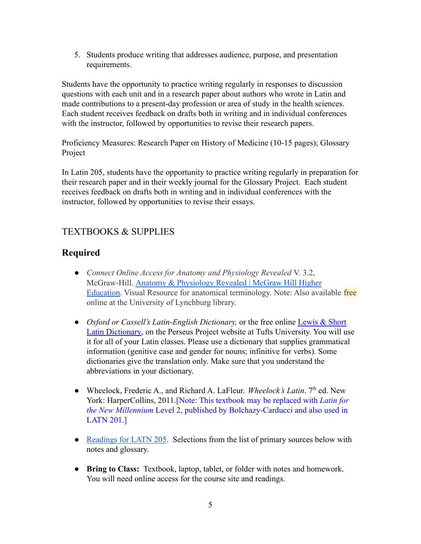5. Students produce writing that addresses audience, purpose, and presentation requirements.

Students have the opportunity to practice writing regularly in responses to discussion questions with each unit and in a research paper about authors who wrote in Latin and made contributions to a present-day profession or area of study in the health sciences. Each student receives feedback on drafts both in writing and in individual conferences with the instructor, followed by opportunities to revise their research papers.

Proficiency Measures: Research Paper on History of Medicine (10-15 pages); Glossary Project

In Latin 205, students have the opportunity to practice writing regularly in preparation for their research paper and in their weekly journal for the Glossary Project. Each student receives feedback on drafts both in writing and in individual conferences with the instructor, followed by opportunities to revise their essays.

# TEXTBOOKS & SUPPLIES

# **Required**

- *Connect Online Access for Anatomy and Physiology Revealed* V. 3.2, McGraw-Hill. [Anatomy & Physiology Revealed | McGraw](https://www.mheducation.com/highered/explore/apr/register-login.html) Hill Higher [Education.](https://www.mheducation.com/highered/explore/apr/register-login.html) Visual Resource for anatomical terminology. Note: Also available free online at the University of Lynchburg library.
- *Oxford or Cassell's Latin-English Dictionary,* or the free online [Lewis & Short](http://www.perseus.tufts.edu/hopper/resolveform?redirect=true&lang=Latin) [Latin Dictionary,](http://www.perseus.tufts.edu/hopper/resolveform?redirect=true&lang=Latin) on the Perseus Project website at Tufts University. You will use it for all of your Latin classes. Please use a dictionary that supplies grammatical information (genitive case and gender for nouns; infinitive for verbs). Some dictionaries give the translation only. Make sure that you understand the abbreviations in your dictionary.
- Wheelock, Frederic A., and Richard A. LaFleur. *Wheelock's Latin*. 7<sup>th</sup> ed. New York: HarperCollins, 2011.[Note: This textbook may be replaced with *Latin for the New Millennium* Level 2, published by Bolchazy-Carducci and also used in LATN 201.]
- [Readings for LATN 205](https://docs.google.com/document/d/13roOZ1v9uD5Jnku7h1LCzo8dWZuv8dgGxaBAO5LjEb4/edit?usp=sharing). Selections from the list of primary sources below with notes and glossary.
- **● Bring to Class:** Textbook, laptop, tablet, or folder with notes and homework. You will need online access for the course site and readings.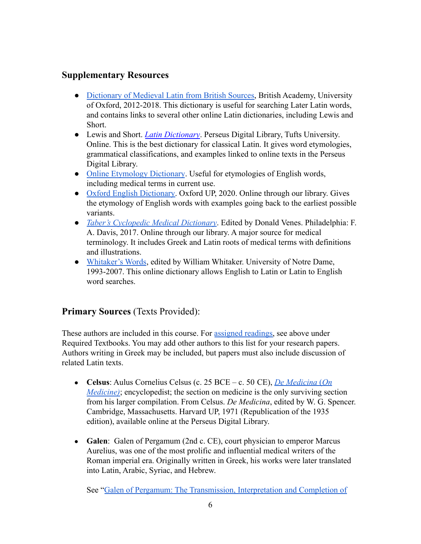## **Supplementary Resources**

- [Dictionary of Medieval Latin from British Sources,](http://www.dmlbs.ox.ac.uk/) British Academy, University of Oxford, 2012-2018. This dictionary is useful for searching Later Latin words, and contains links to several other online Latin dictionaries, including Lewis and Short.
- Lewis and Short. *[Latin Dictionary](http://www.perseus.tufts.edu/hopper/text?doc=Perseus:text:1999.04.0059)*. Perseus Digital Library, Tufts University. Online. This is the best dictionary for classical Latin. It gives word etymologies, grammatical classifications, and examples linked to online texts in the Perseus Digital Library.
- [Online Etymology Dictionary](https://www.etymonline.com/). Useful for etymologies of English words, including medical terms in current use.
- [Oxford English Dictionary.](https://www-oed-com.ezproxy.lynchburg.edu/) Oxford UP, 2020. Online through our library. Gives the etymology of English words with examples going back to the earliest possible variants.
- *[Taber's Cyclopedic Medical Dictionary](https://web-a-ebscohost-com.ezproxy.lynchburg.edu/ehost/ebookviewer/ebook/bmxlYmtfXzE0NzE1OTFfX0FO0?sid=c8021b24-5ac3-471a-a200-a07d833023ce@sdc-v-sessmgr02&vid=0&format=EB&lpid=lp_iii&rid=0)*. Edited by Donald Venes. Philadelphia: F. A. Davis, 2017. Online through our library. A major source for medical terminology. It includes Greek and Latin roots of medical terms with definitions and illustrations.
- [Whitaker's Words](http://archives.nd.edu/words.html), edited by William Whitaker. University of Notre Dame, 1993-2007. This online dictionary allows English to Latin or Latin to English word searches.

## **Primary Sources** (Texts Provided):

These authors are included in this course. For assigned [readings,](https://docs.google.com/document/d/1Rr59dqCv-FBw-ENRc54t9izMWklUjtItICqBO6V0Wzw/edit?usp=sharing) see above under Required Textbooks. You may add other authors to this list for your research papers. Authors writing in Greek may be included, but papers must also include discussion of related Latin texts.

- **Celsus**: Aulus Cornelius Celsus (c. 25 BCE c. 50 CE), *[De Medicina](http://www.perseus.tufts.edu/hopper/text?doc=Perseus%3Atext%3A1999.02.0141%3Abook%3D1%3Achapter%3D1)* (*On Medicine*); encyclopedist; the section on medicine is the only surviving section from his larger compilation. From Celsus. *De Medicina*, edited by W. G. Spencer. Cambridge, Massachusetts. Harvard UP, 1971 (Republication of the 1935 edition), available online at the Perseus Digital Library.
- **Galen**: Galen of Pergamum (2nd c. CE), court physician to emperor Marcus Aurelius, was one of the most prolific and influential medical writers of the Roman imperial era. Originally written in Greek, his works were later translated into Latin, Arabic, Syriac, and Hebrew.

See "[Galen of Pergamum: The Transmission, Interpretation](http://cmg.bbaw.de/project-office/aufgabenstellung-des-cmg) and Completion of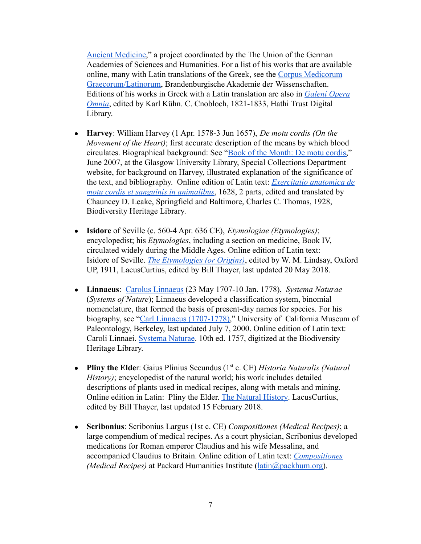[Ancient Medicine](http://cmg.bbaw.de/project-office/aufgabenstellung-des-cmg)," a project coordinated by the The Union of the German Academies of Sciences and Humanities. For a list of his works that are available online, many with Latin translations of the Greek, see the [Corpus Medicorum](http://cmg.bbaw.de/epubl/online/editionen.html) [Graecorum/Latinorum,](http://cmg.bbaw.de/epubl/online/editionen.html) Brandenburgische Akademie der Wissenschaften. Editions of his works in Greek with a Latin translation are also in *[Galeni Opera](https://catalog.hathitrust.org/Record/008881627) [Omnia](https://catalog.hathitrust.org/Record/008881627)*, edited by Karl Kühn. C. Cnobloch, 1821-1833, Hathi Trust Digital Library.

- **Harvey**: William Harvey (1 Apr. 1578-3 Jun 1657), *De motu cordis (On the Movement of the Heart)*; first accurate description of the means by which blood circulates. Biographical background: See "Book of [the Month: De motu cordis,](http://special.lib.gla.ac.uk/exhibns/month/june2007.html)" June 2007, at the Glasgow University Library, Special Collections Department website, for background on Harvey, illustrated explanation of the significance of the text, and bibliography. Online edition of Latin text: *[Exercitatio anatomica de](https://www.biodiversitylibrary.org/item/28796#page/11/mode/1up) [motu cordis et sanguinis in animalibus](https://www.biodiversitylibrary.org/item/28796#page/11/mode/1up)*, 1628, 2 parts, edited and translated by Chauncey D. Leake, Springfield and Baltimore, Charles C. Thomas, 1928, Biodiversity Heritage Library.
- **Isidore** of Seville (c. 560-4 Apr. 636 CE), *Etymologiae (Etymologies)*; encyclopedist; his *Etymologies*, including a section on medicine, Book IV, circulated widely during the Middle Ages. Online edition of Latin text: Isidore of Seville. *[The Etymologies \(or Origins\)](http://penelope.uchicago.edu/Thayer/e/roman/texts/isidore/home.html)*, edited by W. M. Lindsay, Oxford UP, 1911, LacusCurtius, edited by Bill Thayer, last updated 20 May 2018.
- **Linnaeus**: [Carolus Linnaeus](http://www.ucmp.berkeley.edu/history/linnaeus.html) (23 May 1707-10 Jan. 1778), *Systema Naturae* (*Systems of Nature*); Linnaeus developed a classification system, binomial nomenclature, that formed the basis of present-day names for species. For his biography, see "[Carl Linnaeus \(1707-1778\)](http://www.ucmp.berkeley.edu/history/linnaeus.html)," University of California Museum of Paleontology, Berkeley, last updated July 7, 2000. Online edition of Latin text: Caroli Linnaei. [Systema Naturae](https://www.biodiversitylibrary.org/item/10277#page/3/mode/1up). 10th ed. 1757, digitized at the Biodiversity Heritage Library.
- **Pliny the Elde**r: Gaius Plinius Secundus (1<sup>st</sup> c. CE) *Historia Naturalis (Natural*) *History)*; encyclopedist of the natural world; his work includes detailed descriptions of plants used in medical recipes, along with metals and mining. Online edition in Latin: Pliny the Elder. [The Natural](http://penelope.uchicago.edu/Thayer/e/roman/texts/pliny_the_elder/home.html) History. LacusCurtius, edited by Bill Thayer, last updated 15 February 2018.
- **Scribonius**: Scribonius Largus (1st c. CE) *Compositiones (Medical Recipes)*; a large compendium of medical recipes. As a court physician, Scribonius developed medications for Roman emperor Claudius and his wife Messalina, and accompanied Claudius to Britain. Online edition of Latin text: *[Compositiones](http://latin.packhum.org/loc/1011/1/0#2) (Medical Recipes)* at Packard Humanities Institute ([latin@packhum.org\)](mailto:latin@packhum.org).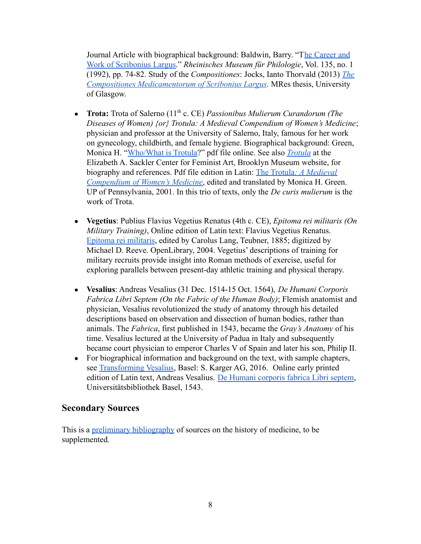Journal Article with biographical background: Baldwin, Barry. "T[he Career and](http://www.rhm.uni-koeln.de/135/Baldwin.pdf) [Work of Scribonius Largus.](http://www.rhm.uni-koeln.de/135/Baldwin.pdf)" *Rheinisches Museum für Philologie*, Vol. 135, no. 1 (1992), pp. 74-82. Study of the *Compositiones*: Jocks, Ianto Thorvald (2013) *[The](http://theses.gla.ac.uk/4892/) [Compositiones Medicamentorum of Scribonius Largus](http://theses.gla.ac.uk/4892/).* MRes thesis, University of Glasgow.

- **Trota:** Trota of Salerno (11<sup>th</sup> c. CE) *Passionibus Mulierum Curandorum (The Diseases of Women) {or} Trotula: A Medieval Compendium of Women's Medicine*; physician and professor at the University of Salerno, Italy, famous for her work on gynecology, childbirth, and female hygiene. Biographical background: Green, Monica H. "[Who/What is Trotula](https://celt.ucc.ie//whowhat2008.pdf)?" pdf file online. See also *[Trotula](https://www.brooklynmuseum.org/eascfa/dinner_party/place_settings/trotula)* at the Elizabeth A. Sackler Center for Feminist Art, Brooklyn Museum website, for biography and references. Pdf file edition in Latin: The Trotula*[: A Medieval](https://drive.google.com/file/d/0B39m_mhLDR-SMGdwdEthNG1fU1lGa1J0NjhDQ1diQ0RfaVJr/view) [Compendium of Women's Medicine](https://drive.google.com/file/d/0B39m_mhLDR-SMGdwdEthNG1fU1lGa1J0NjhDQ1diQ0RfaVJr/view)*, edited and translated by Monica H. Green. UP of Pennsylvania, 2001. In this trio of texts, only the *De curis mulierum* is the work of Trota.
- **Vegetius**: Publius Flavius Vegetius Renatus (4th c. CE), *Epitoma rei militaris (On Military Training)*, Online edition of Latin text: Flavius Vegetius Renatus. [Epitoma rei militaris](https://archive.org/details/epitomareimilit00renagoog), edited by Carolus Lang, Teubner, 1885; digitized by Michael D. Reeve. OpenLibrary, 2004. Vegetius' descriptions of training for military recruits provide insight into Roman methods of exercise, useful for exploring parallels between present-day athletic training and physical therapy.
- **Vesalius**: Andreas Vesalius (31 Dec. 1514-15 Oct. 1564), *De Humani Corporis Fabrica Libri Septem (On the Fabric of the Human Body)*; Flemish anatomist and physician, Vesalius revolutionized the study of anatomy through his detailed descriptions based on observation and dissection of human bodies, rather than animals. The *Fabrica*, first published in 1543, became the *Gray's Anatomy* of his time. Vesalius lectured at the University of Padua in Italy and subsequently became court physician to emperor Charles V of Spain and later his son, Philip II.
- For biographical information and background on the text, with sample chapters, see [Transforming Vesalius,](http://www.vesaliusfabrica.com/) Basel: S. Karger AG, 2016. Online early printed edition of Latin text, Andreas Vesalius. De Humani [corporis fabrica Libri septem,](https://www.e-rara.ch/bau_1/content/titleinfo/6299027) Universitätsbibliothek Basel, 1543.

### **Secondary Sources**

This is a [preliminary bibliography](https://docs.google.com/document/d/14-kE9uMj9O8Y7z6yBFRxJgitkH7-dXtfGW8XBDYvU58/edit?usp=sharing) of sources on the history of medicine, to be supplemented.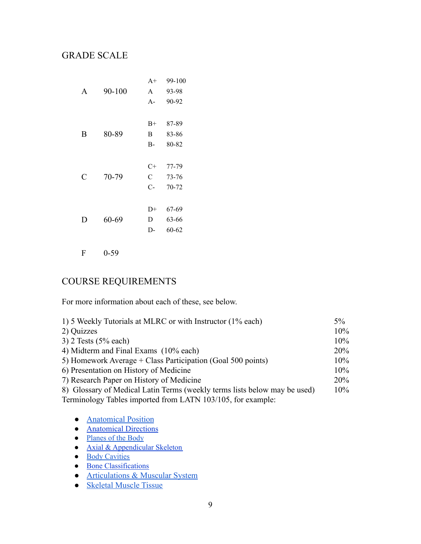## GRADE SCALE

|   |        | $A+$  | 99-100    |
|---|--------|-------|-----------|
| A | 90-100 | A     | 93-98     |
|   |        | $A -$ | 90-92     |
|   |        |       |           |
|   |        | $B+$  | 87-89     |
| B | 80-89  | B     | 83-86     |
|   |        | $B-$  | 80-82     |
|   |        |       |           |
|   |        |       |           |
|   |        | C+    | 77-79     |
| C | 70-79  | C     | 73-76     |
|   |        | $C-$  | $70 - 72$ |
|   |        |       |           |
|   |        | D+    | 67-69     |
| D | 60-69  | D     | 63-66     |
|   |        | D-    | 60-62     |

F 0-59

# COURSE REQUIREMENTS

For more information about each of these, see below.

| 1) 5 Weekly Tutorials at MLRC or with Instructor (1% each)                | $5\%$  |
|---------------------------------------------------------------------------|--------|
| 2) Quizzes                                                                | 10%    |
| $3)$ 2 Tests (5% each)                                                    | 10%    |
| 4) Midterm and Final Exams (10% each)                                     | 20%    |
| 5) Homework Average + Class Participation (Goal 500 points)               | $10\%$ |
| 6) Presentation on History of Medicine                                    | $10\%$ |
| 7) Research Paper on History of Medicine                                  | 20%    |
| 8) Glossary of Medical Latin Terms (weekly terms lists below may be used) | $10\%$ |
| Terminology Tables imported from LATN 103/105, for example:               |        |
|                                                                           |        |

● [Anatomical Position](https://docs.google.com/document/d/1HK80JjhMaCe0GoRpCLFYEuyWkShJj7SxqcvKttyxtBg/edit)

- [Anatomical](https://docs.google.com/document/d/1HHn01h1BUc3vpsg6q9Id0nVmo67wUCuNOFff_-Lx-D4/edit?usp=sharing) Directions
- [Planes](https://docs.google.com/document/d/1YDcYj67sn_IVXNp9NUqjrMRsvRCeA-q54A7UOB8mYK0/edit) of the Body
- **Axial & [Appendicular](https://docs.google.com/document/d/1L9iU-I1A6g6nVemwcthrfvDecsSeIdJQTib3OOPtm0I/edit?usp=sharing) Skeleton**
- Body [Cavities](https://docs.google.com/document/d/13brfs68p1pUJmUnLdg5oJxeB9iczWGiXLV56z8nXxeg/edit?usp=sharing)
- Bone [Classifications](https://docs.google.com/document/d/12c5BHw1riXcSrZaNoJqn1DLjyCnnd4gG5yCWBInfv-4/edit?usp=sharing)
- **[Articulations & Muscular System](https://docs.google.com/document/d/1gnWD9VWOIuj1eLeZJAlYL7DG3sNJ6KetBz1OQFr6mJM/edit)**
- [Skeletal Muscle Tissue](https://docs.google.com/document/d/1-oWuXOKm8ThTeU9L1HMv2AZ9CPHJTps2e-qEYmgFx2g/edit)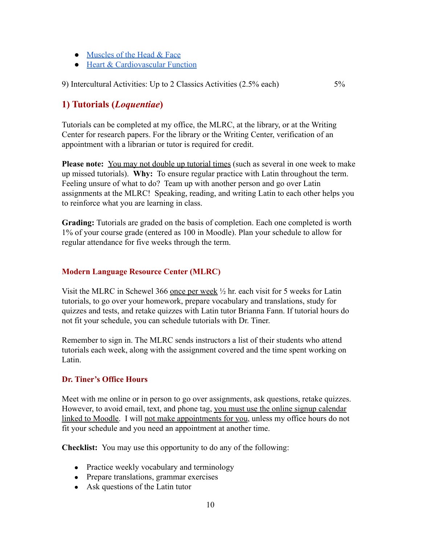- [Muscles of the Head & Face](https://docs.google.com/document/d/1Qpe9exsGpMmD_cx_tNz_i8QtPZf6GBXDZ7pAo0PxZcc/edit)
- [Heart & Cardiovascular Function](https://docs.google.com/document/d/19niJAtvmdYnusYcAJvgzoKgiHOqoNROn0p6LkNAgv7A/edit)

9) Intercultural Activities: Up to 2 Classics Activities (2.5% each) 5%

# **1) Tutorials (***Loquentiae***)**

Tutorials can be completed at my office, the MLRC, at the library, or at the Writing Center for research papers. For the library or the Writing Center, verification of an appointment with a librarian or tutor is required for credit.

**Please note:** You may not double up tutorial times (such as several in one week to make up missed tutorials). **Why:** To ensure regular practice with Latin throughout the term. Feeling unsure of what to do? Team up with another person and go over Latin assignments at the MLRC! Speaking, reading, and writing Latin to each other helps you to reinforce what you are learning in class.

**Grading:** Tutorials are graded on the basis of completion. Each one completed is worth 1% of your course grade (entered as 100 in Moodle). Plan your schedule to allow for regular attendance for five weeks through the term.

### **Modern Language Resource Center (MLRC)**

Visit the MLRC in Schewel 366 once per week  $\frac{1}{2}$  hr. each visit for 5 weeks for Latin tutorials, to go over your homework, prepare vocabulary and translations, study for quizzes and tests, and retake quizzes with Latin tutor Brianna Fann. If tutorial hours do not fit your schedule, you can schedule tutorials with Dr. Tiner.

Remember to sign in. The MLRC sends instructors a list of their students who attend tutorials each week, along with the assignment covered and the time spent working on Latin.

#### **Dr. Tiner's Office Hours**

Meet with me online or in person to go over assignments, ask questions, retake quizzes. However, to avoid email, text, and phone tag, you must use the online signup calendar linked to Moodle. I will not make appointments for you, unless my office hours do not fit your schedule and you need an appointment at another time.

**Checklist:** You may use this opportunity to do any of the following:

- Practice weekly vocabulary and terminology
- Prepare translations, grammar exercises
- Ask questions of the Latin tutor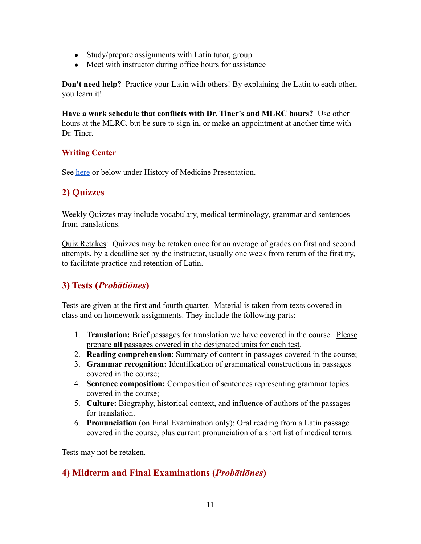- Study/prepare assignments with Latin tutor, group
- Meet with instructor during office hours for assistance

**Don't need help?** Practice your Latin with others! By explaining the Latin to each other, you learn it!

**Have a work schedule that conflicts with Dr. Tiner's and MLRC hours?** Use other hours at the MLRC, but be sure to sign in, or make an appointment at another time with Dr. Tiner.

### **Writing Center**

See [here](https://docs.google.com/document/d/1zCHwrBB3IFlB3f8j_vZVHwJQQTeuR7wHw4P8j9P_374/edit?usp=sharing) or below under History of Medicine Presentation.

## **2) Quizzes**

Weekly Quizzes may include vocabulary, medical terminology, grammar and sentences from translations.

Quiz Retakes: Quizzes may be retaken once for an average of grades on first and second attempts, by a deadline set by the instructor, usually one week from return of the first try, to facilitate practice and retention of Latin.

## **3) Tests (***Probātiōnes***)**

Tests are given at the first and fourth quarter. Material is taken from texts covered in class and on homework assignments. They include the following parts:

- 1. **Translation:** Brief passages for translation we have covered in the course. Please prepare **all** passages covered in the designated units for each test.
- 2. **Reading comprehension**: Summary of content in passages covered in the course;
- 3. **Grammar recognition:** Identification of grammatical constructions in passages covered in the course;
- 4. **Sentence composition:** Composition of sentences representing grammar topics covered in the course;
- 5. **Culture:** Biography, historical context, and influence of authors of the passages for translation.
- 6. **Pronunciation** (on Final Examination only): Oral reading from a Latin passage covered in the course, plus current pronunciation of a short list of medical terms.

Tests may not be retaken.

## **4) Midterm and Final Examinations (***Probātiōnes***)**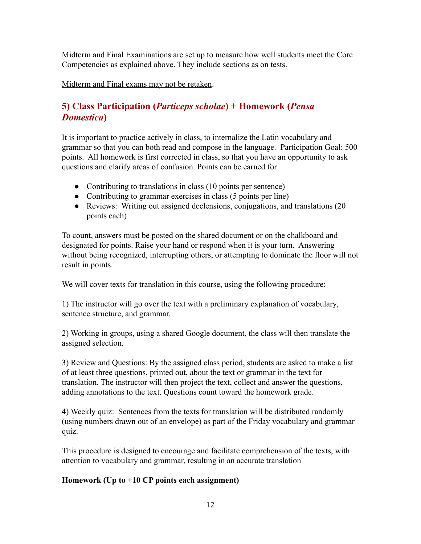Midterm and Final Examinations are set up to measure how well students meet the Core Competencies as explained above. They include sections as on tests.

Midterm and Final exams may not be retaken.

# **5) Class Participation (***Particeps scholae***) + Homework (***Pensa Domestica***)**

It is important to practice actively in class, to internalize the Latin vocabulary and grammar so that you can both read and compose in the language. Participation Goal: 500 points. All homework is first corrected in class, so that you have an opportunity to ask questions and clarify areas of confusion. Points can be earned for

- Contributing to translations in class (10 points per sentence)
- Contributing to grammar exercises in class (5 points per line)
- Reviews: Writing out assigned declensions, conjugations, and translations (20) points each)

To count, answers must be posted on the shared document or on the chalkboard and designated for points. Raise your hand or respond when it is your turn. Answering without being recognized, interrupting others, or attempting to dominate the floor will not result in points.

We will cover texts for translation in this course, using the following procedure:

1) The instructor will go over the text with a preliminary explanation of vocabulary, sentence structure, and grammar.

2) Working in groups, using a shared Google document, the class will then translate the assigned selection.

3) Review and Questions: By the assigned class period, students are asked to make a list of at least three questions, printed out, about the text or grammar in the text for translation. The instructor will then project the text, collect and answer the questions, adding annotations to the text. Questions count toward the homework grade.

4) Weekly quiz: Sentences from the texts for translation will be distributed randomly (using numbers drawn out of an envelope) as part of the Friday vocabulary and grammar quiz.

This procedure is designed to encourage and facilitate comprehension of the texts, with attention to vocabulary and grammar, resulting in an accurate translation

### **Homework (Up to +10 CP points each assignment)**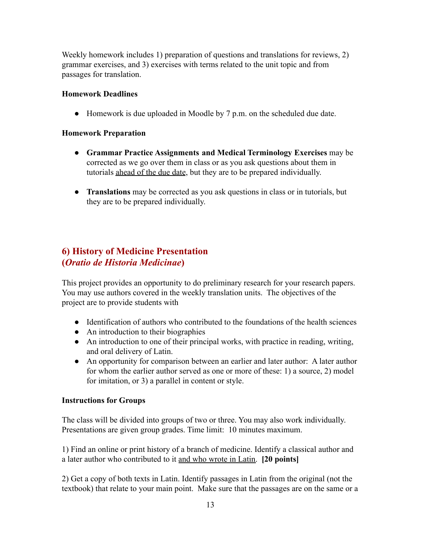Weekly homework includes 1) preparation of questions and translations for reviews, 2) grammar exercises, and 3) exercises with terms related to the unit topic and from passages for translation.

### **Homework Deadlines**

● Homework is due uploaded in Moodle by 7 p.m. on the scheduled due date.

#### **Homework Preparation**

- **Grammar Practice Assignments and Medical Terminology Exercises** may be corrected as we go over them in class or as you ask questions about them in tutorials ahead of the due date, but they are to be prepared individually.
- **Translations** may be corrected as you ask questions in class or in tutorials, but they are to be prepared individually.

# **6) History of Medicine Presentation (***Oratio de Historia Medicinae***)**

This project provides an opportunity to do preliminary research for your research papers. You may use authors covered in the weekly translation units. The objectives of the project are to provide students with

- Identification of authors who contributed to the foundations of the health sciences
- An introduction to their biographies
- An introduction to one of their principal works, with practice in reading, writing, and oral delivery of Latin.
- An opportunity for comparison between an earlier and later author: A later author for whom the earlier author served as one or more of these: 1) a source, 2) model for imitation, or 3) a parallel in content or style.

#### **Instructions for Groups**

The class will be divided into groups of two or three. You may also work individually. Presentations are given group grades. Time limit: 10 minutes maximum.

1) Find an online or print history of a branch of medicine. Identify a classical author and a later author who contributed to it and who wrote in Latin. **[20 points]**

2) Get a copy of both texts in Latin. Identify passages in Latin from the original (not the textbook) that relate to your main point. Make sure that the passages are on the same or a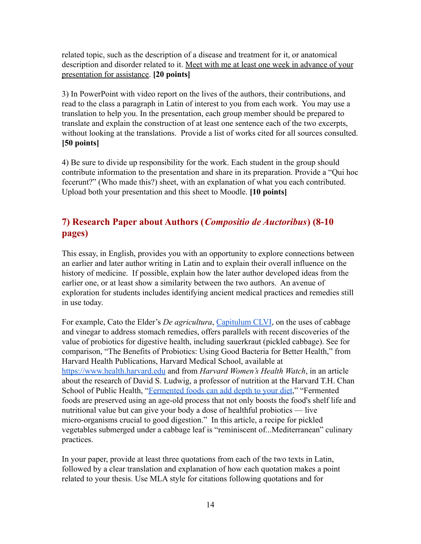related topic, such as the description of a disease and treatment for it, or anatomical description and disorder related to it. Meet with me at least one week in advance of your presentation for assistance. **[20 points]**

3) In PowerPoint with video report on the lives of the authors, their contributions, and read to the class a paragraph in Latin of interest to you from each work. You may use a translation to help you. In the presentation, each group member should be prepared to translate and explain the construction of at least one sentence each of the two excerpts, without looking at the translations. Provide a list of works cited for all sources consulted. **[50 points]**

4) Be sure to divide up responsibility for the work. Each student in the group should contribute information to the presentation and share in its preparation. Provide a "Qui hoc fecerunt?" (Who made this?) sheet, with an explanation of what you each contributed. Upload both your presentation and this sheet to Moodle. **[10 points]**

# **7) Research Paper about Authors (***Compositio de Auctoribus***) (8-10 pages)**

This essay, in English, provides you with an opportunity to explore connections between an earlier and later author writing in Latin and to explain their overall influence on the history of medicine. If possible, explain how the later author developed ideas from the earlier one, or at least show a similarity between the two authors. An avenue of exploration for students includes identifying ancient medical practices and remedies still in use today.

For example, Cato the Elder's *De agricultura*, [Capitulum](http://penelope.uchicago.edu/Thayer/L/Roman/Texts/Cato/De_Agricultura/K*.html) CLVI, on the uses of cabbage and vinegar to address stomach remedies, offers parallels with recent discoveries of the value of probiotics for digestive health, including sauerkraut (pickled cabbage). See for comparison, "The Benefits of Probiotics: Using Good Bacteria for Better Health," from Harvard Health Publications, Harvard Medical School, available at <https://www.health.harvard.edu> and from *Harvard Women's Health Watch*, in an article about the research of David S. Ludwig, a professor of nutrition at the Harvard T.H. Chan School of Public Health, ["Fermented foods can add](https://www.health.harvard.edu/staying-healthy/fermented-foods-can-add-depth-to-your-diet) depth to your diet," "Fermented foods are preserved using an age-old process that not only boosts the food's shelf life and nutritional value but can give your body a dose of healthful probiotics — live micro-organisms crucial to good digestion." In this article, a recipe for pickled vegetables submerged under a cabbage leaf is "reminiscent of...Mediterranean" culinary practices.

In your paper, provide at least three quotations from each of the two texts in Latin, followed by a clear translation and explanation of how each quotation makes a point related to your thesis. Use MLA style for citations following quotations and for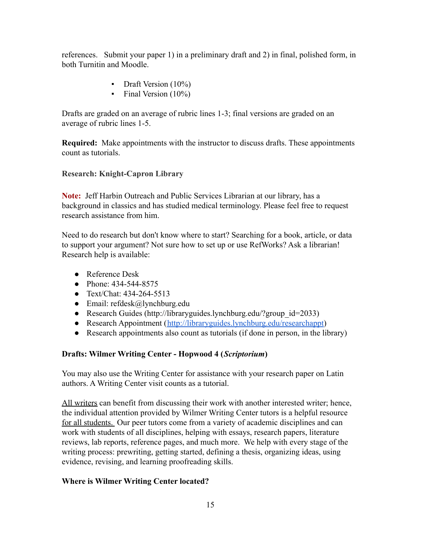references. Submit your paper 1) in a preliminary draft and 2) in final, polished form, in both Turnitin and Moodle.

- **•** Draft Version (10%)
- $\blacksquare$  Final Version (10%)

Drafts are graded on an average of rubric lines 1-3; final versions are graded on an average of rubric lines 1-5.

**Required:** Make appointments with the instructor to discuss drafts. These appointments count as tutorials.

### **Research: Knight-Capron Library**

**Note:** Jeff Harbin Outreach and Public Services Librarian at our library, has a background in classics and has studied medical terminology. Please feel free to request research assistance from him.

Need to do research but don't know where to start? Searching for a book, article, or data to support your argument? Not sure how to set up or use RefWorks? Ask a librarian! Research help is available:

- Reference Desk
- Phone: 434-544-8575
- Text/Chat: 434-264-5513
- Email: refdesk@lynchburg.edu
- Research Guides (http://libraryguides.lynchburg.edu/?group\_id=2033)
- Research Appointment (<http://libraryguides.lynchburg.edu/researchappt>)
- Research appointments also count as tutorials (if done in person, in the library)

### **Drafts: Wilmer Writing Center - Hopwood 4 (***Scriptorium***)**

You may also use the Writing Center for assistance with your research paper on Latin authors. A Writing Center visit counts as a tutorial.

All writers can benefit from discussing their work with another interested writer; hence, the individual attention provided by Wilmer Writing Center tutors is a helpful resource for all students. Our peer tutors come from a variety of academic disciplines and can work with students of all disciplines, helping with essays, research papers, literature reviews, lab reports, reference pages, and much more. We help with every stage of the writing process: prewriting, getting started, defining a thesis, organizing ideas, using evidence, revising, and learning proofreading skills.

#### **Where is Wilmer Writing Center located?**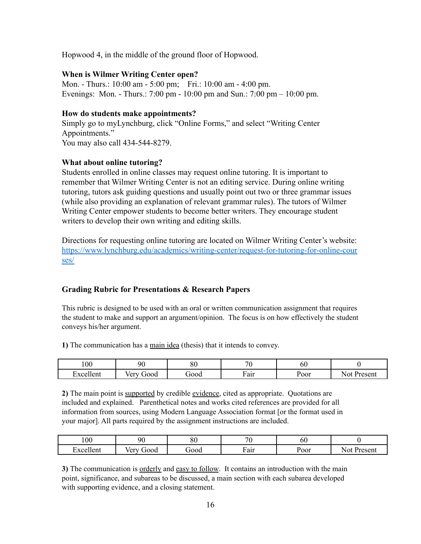Hopwood 4, in the middle of the ground floor of Hopwood.

#### **When is Wilmer Writing Center open?**

Mon. - Thurs.: 10:00 am - 5:00 pm; Fri.: 10:00 am - 4:00 pm. Evenings: Mon. - Thurs.: 7:00 pm - 10:00 pm and Sun.: 7:00 pm – 10:00 pm.

#### **How do students make appointments?**

Simply go to myLynchburg, click "Online Forms," and select "Writing Center Appointments." You may also call 434-544-8279.

#### **What about online tutoring?**

Students enrolled in online classes may request online tutoring. It is important to remember that Wilmer Writing Center is not an editing service. During online writing tutoring, tutors ask guiding questions and usually point out two or three grammar issues (while also providing an explanation of relevant grammar rules). The tutors of Wilmer Writing Center empower students to become better writers. They encourage student writers to develop their own writing and editing skills.

Directions for requesting online tutoring are located on Wilmer Writing Center's website: [https://www.lynchburg.edu/academics/writing-center/request-for-tutoring-for-online-cour](https://www.lynchburg.edu/academics/writing-center/request-for-tutoring-for-online-courses/) [ses/](https://www.lynchburg.edu/academics/writing-center/request-for-tutoring-for-online-courses/)

#### **Grading Rubric for Presentations & Research Papers**

This rubric is designed to be used with an oral or written communication assignment that requires the student to make and support an argument/opinion. The focus is on how effectively the student conveys his/her argument.

**1)** The communication has a main idea (thesis) that it intends to convey.

| 00                                              | 90                           | $\Omega$<br>οu | 70              | 0U   |                            |
|-------------------------------------------------|------------------------------|----------------|-----------------|------|----------------------------|
| $\overline{\phantom{a}}$<br>xcellent:<br>______ | $\sim$ $\sim$<br>b00t<br>″∪⊥ | J00d           | $\sim$<br>F air | Poor | N01<br>Procon<br>$\sim$ u. |

**2)** The main point is supported by credible evidence, cited as appropriate. Quotations are included and explained. Parenthetical notes and works cited references are provided for all information from sources, using Modern Language Association format [or the format used in your major]. All parts required by the assignment instructions are included.

| 100   | 90          | 00<br>οu    | $\overline{\phantom{a}}$ | ou   |                 |
|-------|-------------|-------------|--------------------------|------|-----------------|
| 'leni | /er<br>J000 | <b>rood</b> | r air                    | Poor | 'resent<br>'N c |

**3)** The communication is orderly and easy to follow. It contains an introduction with the main point, significance, and subareas to be discussed, a main section with each subarea developed with supporting evidence, and a closing statement.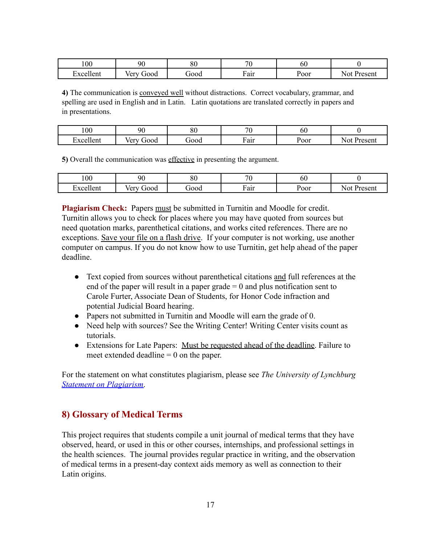| 100                                       | 90                     | 80   | חר<br>л.       | 60   |                         |
|-------------------------------------------|------------------------|------|----------------|------|-------------------------|
| . .<br>llent<br>$\mathbf{v}$ $\mathbf{v}$ | - -<br>/er<br>000t<br> | jood | $\sim$<br>Fair | Poor | 'racan<br>$\sim$<br>эсп |

**4)** The communication is conveyed well without distractions. Correct vocabulary, grammar, and spelling are used in English and in Latin. Latin quotations are translated correctly in papers and in presentations.

| 100            | ۹Λ                           | oσ<br>ÕΙ.   | 70  | υU   |              |
|----------------|------------------------------|-------------|-----|------|--------------|
| \lent<br>'Y CA | 10 <sup>m</sup><br>b00t<br>◡ | <b>rood</b> | air | Poor | Jresen<br>പപ |

**5)** Overall the communication was effective in presenting the argument.

| 100                                                | 90         | $\Omega$<br>οU | $\overline{\phantom{a}}$ | ou   |              |
|----------------------------------------------------|------------|----------------|--------------------------|------|--------------|
| . .<br><b>Tent</b><br>$\mathbf{v} \mathbf{\alpha}$ | ood<br>/er | <b>JOO0</b>    | Fair                     | Poor | resent<br>м. |

**Plagiarism Check:** Papers must be submitted in Turnitin and Moodle for credit. Turnitin allows you to check for places where you may have quoted from sources but need quotation marks, parenthetical citations, and works cited references. There are no exceptions. Save your file on a flash drive. If your computer is not working, use another computer on campus. If you do not know how to use Turnitin, get help ahead of the paper deadline.

- Text copied from sources without parenthetical citations and full references at the end of the paper will result in a paper grade  $= 0$  and plus notification sent to Carole Furter, Associate Dean of Students, for Honor Code infraction and potential Judicial Board hearing.
- Papers not submitted in Turnitin and Moodle will earn the grade of 0.
- Need help with sources? See the Writing Center! Writing Center visits count as tutorials.
- Extensions for Late Papers: Must be requested ahead of the deadline. Failure to meet extended deadline  $= 0$  on the paper.

For the statement on what constitutes plagiarism, please see *The University of Lynchburg [Statement on Plagiarism](http://www.lynchburg.edu/student-life/student-handbook-and-policies/statement-on-plagiarism/)*.

# **8) Glossary of Medical Terms**

This project requires that students compile a unit journal of medical terms that they have observed, heard, or used in this or other courses, internships, and professional settings in the health sciences. The journal provides regular practice in writing, and the observation of medical terms in a present-day context aids memory as well as connection to their Latin origins.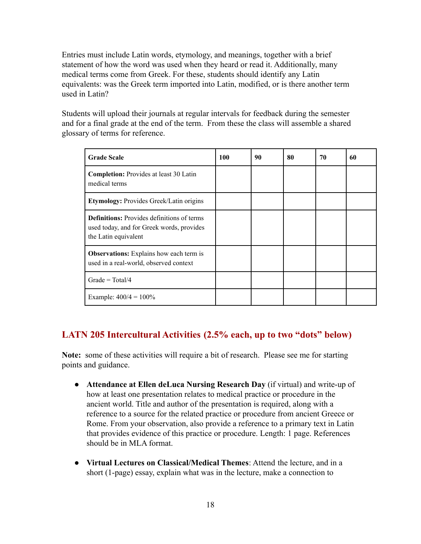Entries must include Latin words, etymology, and meanings, together with a brief statement of how the word was used when they heard or read it. Additionally, many medical terms come from Greek. For these, students should identify any Latin equivalents: was the Greek term imported into Latin, modified, or is there another term used in Latin?

Students will upload their journals at regular intervals for feedback during the semester and for a final grade at the end of the term. From these the class will assemble a shared glossary of terms for reference.

| <b>Grade Scale</b>                                                                                                     | 100 | 90 | 80 | 70 | 60 |
|------------------------------------------------------------------------------------------------------------------------|-----|----|----|----|----|
| <b>Completion:</b> Provides at least 30 Latin<br>medical terms                                                         |     |    |    |    |    |
| <b>Etymology:</b> Provides Greek/Latin origins                                                                         |     |    |    |    |    |
| <b>Definitions:</b> Provides definitions of terms<br>used today, and for Greek words, provides<br>the Latin equivalent |     |    |    |    |    |
| <b>Observations:</b> Explains how each term is<br>used in a real-world, observed context                               |     |    |    |    |    |
| Grade = $Total/4$                                                                                                      |     |    |    |    |    |
| Example: $400/4 = 100\%$                                                                                               |     |    |    |    |    |

## **LATN 205 Intercultural Activities (2.5% each, up to two "dots" below)**

**Note:** some of these activities will require a bit of research. Please see me for starting points and guidance.

- **Attendance at Ellen deLuca Nursing Research Day** (if virtual) and write-up of how at least one presentation relates to medical practice or procedure in the ancient world. Title and author of the presentation is required, along with a reference to a source for the related practice or procedure from ancient Greece or Rome. From your observation, also provide a reference to a primary text in Latin that provides evidence of this practice or procedure. Length: 1 page. References should be in MLA format.
- **Virtual Lectures on Classical/Medical Themes**: Attend the lecture, and in a short (1-page) essay, explain what was in the lecture, make a connection to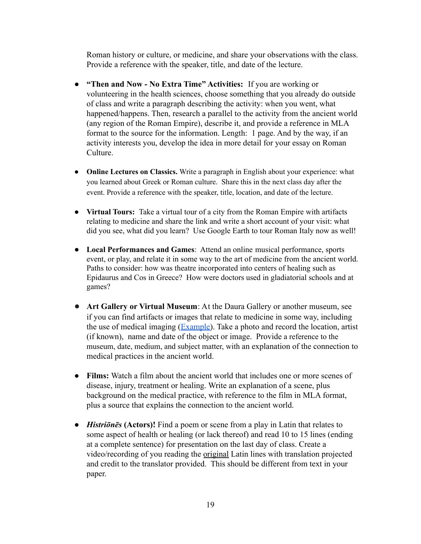Roman history or culture, or medicine, and share your observations with the class. Provide a reference with the speaker, title, and date of the lecture.

- **"Then and Now No Extra Time" Activities:** If you are working or volunteering in the health sciences, choose something that you already do outside of class and write a paragraph describing the activity: when you went, what happened/happens. Then, research a parallel to the activity from the ancient world (any region of the Roman Empire), describe it, and provide a reference in MLA format to the source for the information. Length: 1 page. And by the way, if an activity interests you, develop the idea in more detail for your essay on Roman Culture.
- **Online Lectures on Classics.** Write a paragraph in English about your experience: what you learned about Greek or Roman culture. Share this in the next class day after the event. Provide a reference with the speaker, title, location, and date of the lecture.
- **Virtual Tours:** Take a virtual tour of a city from the Roman Empire with artifacts relating to medicine and share the link and write a short account of your visit: what did you see, what did you learn? Use Google Earth to tour Roman Italy now as well!
- **Local Performances and Games**: Attend an online musical performance, sports event, or play, and relate it in some way to the art of medicine from the ancient world. Paths to consider: how was theatre incorporated into centers of healing such as Epidaurus and Cos in Greece? How were doctors used in gladiatorial schools and at games?
- **Art Gallery or Virtual Museum**: At the Daura Gallery or another museum, see if you can find artifacts or images that relate to medicine in some way, including the use of medical imaging ([Example\)](https://www.vmfa.museum/piction/6027262-75484443/). Take a photo and record the location, artist (if known), name and date of the object or image. Provide a reference to the museum, date, medium, and subject matter, with an explanation of the connection to medical practices in the ancient world.
- **Films:** Watch a film about the ancient world that includes one or more scenes of disease, injury, treatment or healing. Write an explanation of a scene, plus background on the medical practice, with reference to the film in MLA format, plus a source that explains the connection to the ancient world.
- *Histriōnēs* **(Actors)!** Find a poem or scene from a play in Latin that relates to some aspect of health or healing (or lack thereof) and read 10 to 15 lines (ending at a complete sentence) for presentation on the last day of class. Create a video/recording of you reading the original Latin lines with translation projected and credit to the translator provided. This should be different from text in your paper.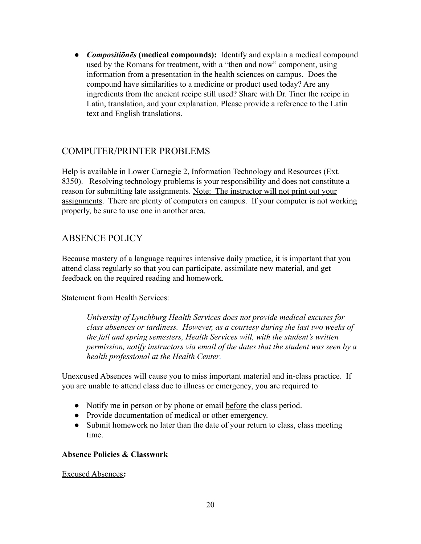● *Compositiōnēs* **(medical compounds):** Identify and explain a medical compound used by the Romans for treatment, with a "then and now" component, using information from a presentation in the health sciences on campus. Does the compound have similarities to a medicine or product used today? Are any ingredients from the ancient recipe still used? Share with Dr. Tiner the recipe in Latin, translation, and your explanation. Please provide a reference to the Latin text and English translations.

## COMPUTER/PRINTER PROBLEMS

Help is available in Lower Carnegie 2, Information Technology and Resources (Ext. 8350). Resolving technology problems is your responsibility and does not constitute a reason for submitting late assignments. Note: The instructor will not print out your assignments. There are plenty of computers on campus. If your computer is not working properly, be sure to use one in another area.

### ABSENCE POLICY

Because mastery of a language requires intensive daily practice, it is important that you attend class regularly so that you can participate, assimilate new material, and get feedback on the required reading and homework.

Statement from Health Services:

*University of Lynchburg Health Services does not provide medical excuses for class absences or tardiness. However, as a courtesy during the last two weeks of the fall and spring semesters, Health Services will, with the student's written permission, notify instructors via email of the dates that the student was seen by a health professional at the Health Center.*

Unexcused Absences will cause you to miss important material and in-class practice. If you are unable to attend class due to illness or emergency, you are required to

- Notify me in person or by phone or email before the class period.
- Provide documentation of medical or other emergency.
- Submit homework no later than the date of your return to class, class meeting time.

#### **Absence Policies & Classwork**

Excused Absences**:**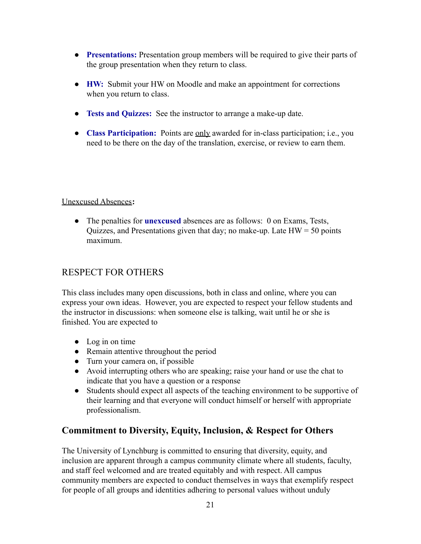- **Presentations:** Presentation group members will be required to give their parts of the group presentation when they return to class.
- **HW:** Submit your HW on Moodle and make an appointment for corrections when you return to class.
- **Tests and Quizzes:** See the instructor to arrange a make-up date.
- **Class Participation:** Points are only awarded for in-class participation; i.e., you need to be there on the day of the translation, exercise, or review to earn them.

### Unexcused Absences**:**

● The penalties for **unexcused** absences are as follows: 0 on Exams, Tests, Quizzes, and Presentations given that day; no make-up. Late  $HW = 50$  points maximum.

# RESPECT FOR OTHERS

This class includes many open discussions, both in class and online, where you can express your own ideas. However, you are expected to respect your fellow students and the instructor in discussions: when someone else is talking, wait until he or she is finished. You are expected to

- Log in on time
- Remain attentive throughout the period
- $\bullet$  Turn your camera on, if possible
- Avoid interrupting others who are speaking; raise your hand or use the chat to indicate that you have a question or a response
- Students should expect all aspects of the teaching environment to be supportive of their learning and that everyone will conduct himself or herself with appropriate professionalism.

# **Commitment to Diversity, Equity, Inclusion, & Respect for Others**

The University of Lynchburg is committed to ensuring that diversity, equity, and inclusion are apparent through a campus community climate where all students, faculty, and staff feel welcomed and are treated equitably and with respect. All campus community members are expected to conduct themselves in ways that exemplify respect for people of all groups and identities adhering to personal values without unduly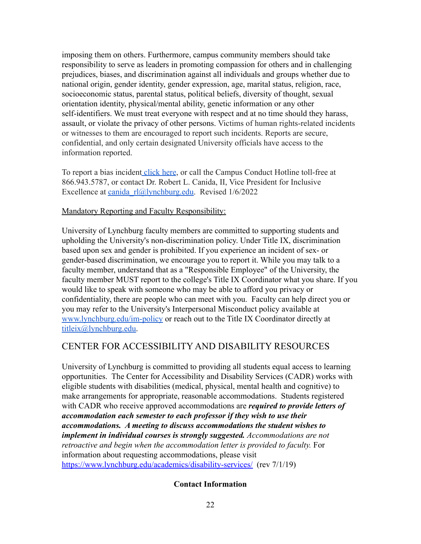imposing them on others. Furthermore, campus community members should take responsibility to serve as leaders in promoting compassion for others and in challenging prejudices, biases, and discrimination against all individuals and groups whether due to national origin, gender identity, gender expression, age, marital status, religion, race, socioeconomic status, parental status, political beliefs, diversity of thought, sexual orientation identity, physical/mental ability, genetic information or any other self-identifiers. We must treat everyone with respect and at no time should they harass, assault, or violate the privacy of other persons. Victims of human rights-related incidents or witnesses to them are encouraged to report such incidents. Reports are secure, confidential, and only certain designated University officials have access to the information reported.

To report a bias incident [click here](https://www.lynchburg.edu/about/office-of-equity-and-inclusion/bias-education-response-team-bert/), or call the Campus Conduct Hotline toll-free at 866.943.5787, or contact Dr. Robert L. Canida, II, Vice President for Inclusive Excellence at [canida\\_rl@lynchburg.edu.](mailto:canida_rl@lynchburg.edu) Revised 1/6/2022

#### Mandatory Reporting and Faculty Responsibility:

University of Lynchburg faculty members are committed to supporting students and upholding the University's non-discrimination policy. Under Title IX, discrimination based upon sex and gender is prohibited. If you experience an incident of sex- or gender-based discrimination, we encourage you to report it. While you may talk to a faculty member, understand that as a "Responsible Employee" of the University, the faculty member MUST report to the college's Title IX Coordinator what you share. If you would like to speak with someone who may be able to afford you privacy or confidentiality, there are people who can meet with you. Faculty can help dir[ec](http://www.lynchburg.edu/im-policy)t you or you may refer to the University's Interpersonal Misconduct policy available at [www.lynchburg.edu/im-policy](http://www.lynchburg.edu/im-policy) or reach out to the Title IX Coordinator directly at [titleix@lynchburg.edu.](mailto:titleix@lynchburg.edu)

## CENTER FOR ACCESSIBILITY AND DISABILITY RESOURCES

University of Lynchburg is committed to providing all students equal access to learning opportunities. The Center for Accessibility and Disability Services (CADR) works with eligible students with disabilities (medical, physical, mental health and cognitive) to make arrangements for appropriate, reasonable accommodations. Students registered with CADR who receive approved accommodations are *required to provide letters of accommodation each semester to each professor if they wish to use their accommodations. A meeting to discuss accommodations the student wishes to implement in individual courses is strongly suggested. Accommodations are not retroactive and begin when the accommodation letter is provided to faculty.* For information about requesting accommodations, please visit <https://www.lynchburg.edu/academics/disability-services/> (rev 7/1/19)

#### **Contact Information**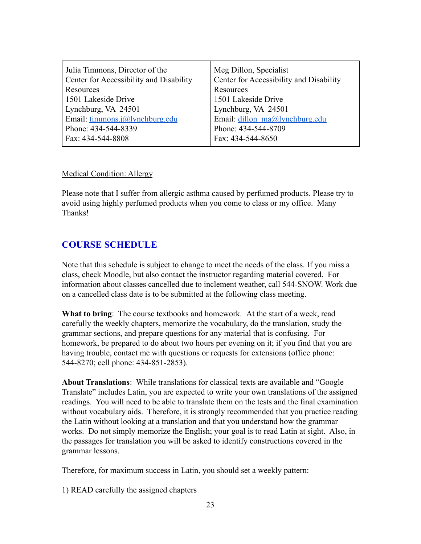| Julia Timmons, Director of the          | Meg Dillon, Specialist                  |
|-----------------------------------------|-----------------------------------------|
| Center for Accessibility and Disability | Center for Accessibility and Disability |
| Resources                               | Resources                               |
| 1501 Lakeside Drive                     | 1501 Lakeside Drive                     |
| Lynchburg, VA 24501                     | Lynchburg, VA 24501                     |
| Email: timmons.j@lynchburg.edu          | Email: dillon ma@lynchburg.edu          |
| Phone: 434-544-8339                     | Phone: 434-544-8709                     |
| Fax: 434-544-8808                       | Fax: 434-544-8650                       |
|                                         |                                         |

#### Medical Condition: Allergy

Please note that I suffer from allergic asthma caused by perfumed products. Please try to avoid using highly perfumed products when you come to class or my office. Many Thanks!

### **COURSE SCHEDULE**

Note that this schedule is subject to change to meet the needs of the class. If you miss a class, check Moodle, but also contact the instructor regarding material covered. For information about classes cancelled due to inclement weather, call 544-SNOW. Work due on a cancelled class date is to be submitted at the following class meeting.

**What to bring**: The course textbooks and homework. At the start of a week, read carefully the weekly chapters, memorize the vocabulary, do the translation, study the grammar sections, and prepare questions for any material that is confusing. For homework, be prepared to do about two hours per evening on it; if you find that you are having trouble, contact me with questions or requests for extensions (office phone: 544-8270; cell phone: 434-851-2853).

**About Translations**: While translations for classical texts are available and "Google Translate" includes Latin, you are expected to write your own translations of the assigned readings. You will need to be able to translate them on the tests and the final examination without vocabulary aids. Therefore, it is strongly recommended that you practice reading the Latin without looking at a translation and that you understand how the grammar works. Do not simply memorize the English; your goal is to read Latin at sight. Also, in the passages for translation you will be asked to identify constructions covered in the grammar lessons.

Therefore, for maximum success in Latin, you should set a weekly pattern:

1) READ carefully the assigned chapters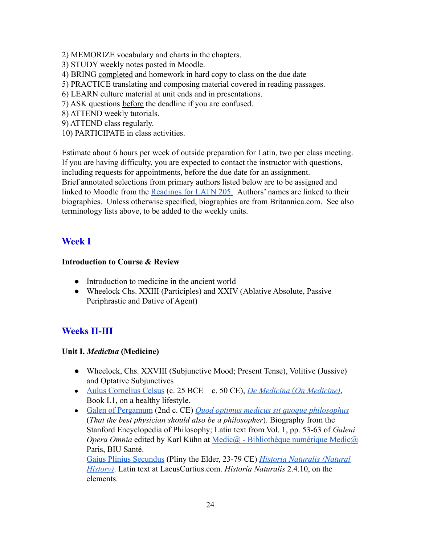- 2) MEMORIZE vocabulary and charts in the chapters.
- 3) STUDY weekly notes posted in Moodle.
- 4) BRING completed and homework in hard copy to class on the due date
- 5) PRACTICE translating and composing material covered in reading passages.
- 6) LEARN culture material at unit ends and in presentations.
- 7) ASK questions before the deadline if you are confused.
- 8) ATTEND weekly tutorials.
- 9) ATTEND class regularly.
- 10) PARTICIPATE in class activities.

Estimate about 6 hours per week of outside preparation for Latin, two per class meeting. If you are having difficulty, you are expected to contact the instructor with questions, including requests for appointments, before the due date for an assignment. Brief annotated selections from primary authors listed below are to be assigned and linked to Moodle from the [Readings for LATN 205.](https://docs.google.com/document/d/13roOZ1v9uD5Jnku7h1LCzo8dWZuv8dgGxaBAO5LjEb4/edit?usp=sharing) Authors' names are linked to their biographies. Unless otherwise specified, biographies are from Britannica.com. See also terminology lists above, to be added to the weekly units.

# **Week I**

### **Introduction to Course & Review**

- Introduction to medicine in the ancient world
- Wheelock Chs. XXIII (Participles) and XXIV (Ablative Absolute, Passive Periphrastic and Dative of Agent)

# **Weeks II-III**

### **Unit I.** *Medicīna* **(Medicine)**

- Wheelock, Chs. XXVIII (Subjunctive Mood; Present Tense), Volitive (Jussive) and Optative Subjunctives
- [Aulus Cornelius Celsus](https://www.britannica.com/biography/Aulus-Cornelius-Celsus) (c. 25 BCE c. 50 CE), *De Medicina* (*[On Medicine\)](http://www.perseus.tufts.edu/hopper/text?doc=Perseus%3Atext%3A1999.02.0141%3Abook%3D1%3Achapter%3D1)*, Book I.1, on a healthy lifestyle.
- [Galen of Pergamum](https://plato.stanford.edu/entries/galen/) (2nd c. CE) *Quod optimus medicus [sit quoque philosophus](http://www.biusante.parisdescartes.fr/histoire/medica/resultats/?cote=45674x01&p=318&do=page)* (*That the best physician should also be a philosopher*). Biography from the Stanford Encyclopedia of Philosophy; Latin text from Vol. 1, pp. 53-63 of *Galeni Opera Omnia* edited by Karl Kühn at [Medic@ - Bibliothèque](http://www.biusante.parisdescartes.fr/histoire/medica/index.php) numérique Medic@ Paris, BIU Santé.

[Gaius Plinius Secundus](https://www.britannica.com/biography/Pliny-the-Elder) (Pliny the Elder, 23-79 CE) *[Historia Naturalis \(Natural](http://penelope.uchicago.edu/Thayer/e/roman/texts/pliny_the_elder/home.html) [History\)](http://penelope.uchicago.edu/Thayer/e/roman/texts/pliny_the_elder/home.html)*. Latin text at LacusCurtius.com. *Historia Naturalis* 2.4.10, on the elements.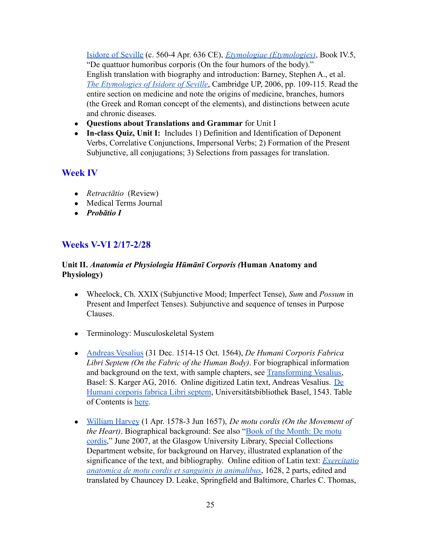[Isidore of Seville](https://www.britannica.com/biography/Saint-Isidore-of-Sevilla) (c. 560-4 Apr. 636 CE), *[Etymologiae \(Etymologies\)](http://penelope.uchicago.edu/Thayer/e/roman/texts/isidore/home.html)*, Book IV.5, "De quattuor humoribus corporis (On the four humors of the body)." English translation with biography and introduction: Barney, Stephen A., et al. *[The Etymologies of Isidore of Seville](https://sfponline.org/Uploads/2002/st%20isidore%20in%20english.pdf)*, Cambridge UP, 2006, pp. 109-115. Read the entire section on medicine and note the origins of medicine, branches, humors (the Greek and Roman concept of the elements), and distinctions between acute and chronic diseases.

- **Questions about Translations and Grammar** for Unit I
- **In-class Quiz, Unit I:** Includes 1) Definition and Identification of Deponent Verbs, Correlative Conjunctions, Impersonal Verbs; 2) Formation of the Present Subjunctive, all conjugations; 3) Selections from passages for translation.

## **Week IV**

- *● Retractātio* (Review)
- Medical Terms Journal
- *● Probātio I*

# **Weeks V-VI 2/17-2/28**

### **Unit II.** *Anatomia et Physiologia Hūmānī Corporis (***Human Anatomy and Physiology)**

- Wheelock, Ch. XXIX (Subjunctive Mood; Imperfect Tense), *Sum* and *Possum* in Present and Imperfect Tenses). Subjunctive and sequence of tenses in Purpose Clauses.
- Terminology: Musculoskeletal System
- [Andreas Vesalius](https://www.britannica.com/biography/Andreas-Vesalius) (31 Dec. 1514-15 Oct. 1564), *De Humani Corporis Fabrica Libri Septem (On the Fabric of the Human Body)*. For biographical information and background on the text, with sample chapters, see [Transforming Vesalius,](http://www.vesaliusfabrica.com/) Basel: S. Karger AG, 2016. Online digitized Latin text, Andreas Vesalius. [De](https://www.e-rara.ch/bau_1/content/titleinfo/6299027) [Humani corporis fabrica Libri septem](https://www.e-rara.ch/bau_1/content/titleinfo/6299027), Universitätsbibliothek Basel, 1543. Table of Contents is [here](https://www.e-rara.ch/bau_1/content/structure/6299027).
- [William Harvey](https://www.britannica.com/biography/William-Harvey) (1 Apr. 1578-3 Jun 1657), *De motu cordis (On the Movement of the Heart)*. Biographical background: See also "Book [of the Month: De motu](http://special.lib.gla.ac.uk/exhibns/month/june2007.html) [cordis](http://special.lib.gla.ac.uk/exhibns/month/june2007.html)," June 2007, at the Glasgow University Library, Special Collections Department website, for background on Harvey, illustrated explanation of the significance of the text, and bibliography. Online edition of Latin text: *[Exercitatio](https://www.biodiversitylibrary.org/item/28796#page/11/mode/1up) [anatomica de motu cordis et sanguinis in animalibus](https://www.biodiversitylibrary.org/item/28796#page/11/mode/1up)*, 1628, 2 parts, edited and translated by Chauncey D. Leake, Springfield and Baltimore, Charles C. Thomas,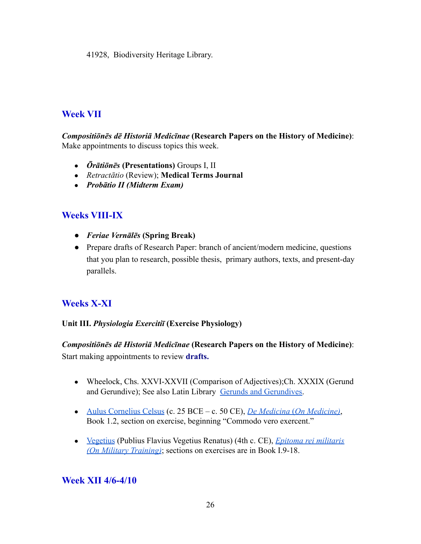41928, Biodiversity Heritage Library.

# **Week VII**

*Compositiōnēs dē Historiā Medicīnae* **(Research Papers on the History of Medicine)**: Make appointments to discuss topics this week.

- *● Ōrātiōnēs* **(Presentations)** Groups I, II
- *● Retractātio* (Review); **Medical Terms Journal**
- *● Probātio II (Midterm Exam)*

# **Weeks VIII-IX**

- **●** *Feriae Vernālēs* **(Spring Break)**
- Prepare drafts of Research Paper: branch of ancient/modern medicine, questions that you plan to research, possible thesis, primary authors, texts, and present-day parallels.

# **Weeks X-XI**

#### **Unit III.** *Physiologia Exercitiī* **(Exercise Physiology)**

# *Compositiōnēs dē Historiā Medicīnae* **(Research Papers on the History of Medicine)**:

Start making appointments to review **drafts.**

- Wheelock, Chs. XXVI-XXVII (Comparison of Adjectives);Ch. XXXIX (Gerund and Gerundive); See also Latin Library [Gerunds and](http://www.thelatinlibrary.com/101/GerundGerundive.pdf) Gerundives.
- [Aulus Cornelius Celsus](https://www.britannica.com/biography/Aulus-Cornelius-Celsus) (c. 25 BCE c. 50 CE), *De Medicina* (*[On Medicine\)](http://www.perseus.tufts.edu/hopper/text?doc=Perseus%3Atext%3A1999.02.0141%3Abook%3D1%3Achapter%3D2)*, Book 1.2, section on exercise, beginning "Commodo vero exercent."
- [Vegetius](https://www.britannica.com/biography/Vegetius) (Publius Flavius Vegetius Renatus) (4th c. CE), *[Epitoma rei militaris](https://archive.org/details/epitomareimilit00renagoog) [\(On Military Training\)](https://archive.org/details/epitomareimilit00renagoog)*; sections on exercises are in Book I.9-18.

## **Week XII 4/6-4/10**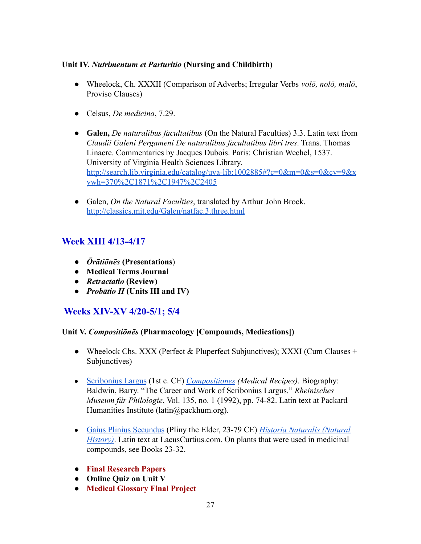### **Unit IV.** *Nutrimentum et Parturitio* **(Nursing and Childbirth)**

- Wheelock, Ch. XXXII (Comparison of Adverbs; Irregular Verbs *volō, nolō, malō*, Proviso Clauses)
- Celsus, *De medicina*, 7.29.
- **Galen,** *De naturalibus facultatibus* (On the Natural Faculties) 3.3. Latin text from *Claudii Galeni Pergameni De naturalibus facultatibus libri tres*. Trans. Thomas Linacre. Commentaries by Jacques Dubois. Paris: Christian Wechel, 1537. University of Virginia Health Sciences Library. [http://search.lib.virginia.edu/catalog/uva-lib:1002885#?c=0&m=0&s=0&cv=9&x](http://search.lib.virginia.edu/catalog/uva-lib:1002885#?c=0&m=0&s=0&cv=9&xywh=370%2C1871%2C1947%2C2405) [ywh=370%2C1871%2C1947%2C2405](http://search.lib.virginia.edu/catalog/uva-lib:1002885#?c=0&m=0&s=0&cv=9&xywh=370%2C1871%2C1947%2C2405)
- Galen, *On the Natural Faculties*, translated by Arthur John Brock. <http://classics.mit.edu/Galen/natfac.3.three.html>

# **Week XIII 4/13-4/17**

- *Ōrātiōnēs* **(Presentations**)
- **Medical Terms Journa**l
- *Retractatio* **(Review)**
- *Probātio II* **(Units III and IV)**

# **Weeks XIV-XV 4/20-5/1; 5/4**

### **Unit V.** *Compositiōnēs* **(Pharmacology [Compounds, Medications])**

- Wheelock Chs. XXX (Perfect & Pluperfect Subjunctives); XXXI (Cum Clauses + Subjunctives)
- [Scribonius Largus](http://www.rhm.uni-koeln.de/135/Baldwin.pdf) (1st c. CE) *[Compositiones](http://latin.packhum.org/loc/1011/1/0#2) (Medical Recipes)*. Biography: Baldwin, Barry. "The Career and Work of Scribonius Largus." *Rheinisches Museum für Philologie*, Vol. 135, no. 1 (1992), pp. 74-82. Latin text at Packard Humanities Institute (latin@packhum.org).
- [Gaius Plinius Secundus](https://www.britannica.com/biography/Pliny-the-Elder) (Pliny the Elder, 23-79 CE) *[Historia Naturalis \(Natural](http://penelope.uchicago.edu/Thayer/e/roman/texts/pliny_the_elder/home.html) History*). Latin text at LacusCurtius.com. On plants that were used in medicinal compounds, see Books 23-32.
- **Final Research Papers**
- **Online Quiz on Unit V**
- **Medical Glossary Final Project**